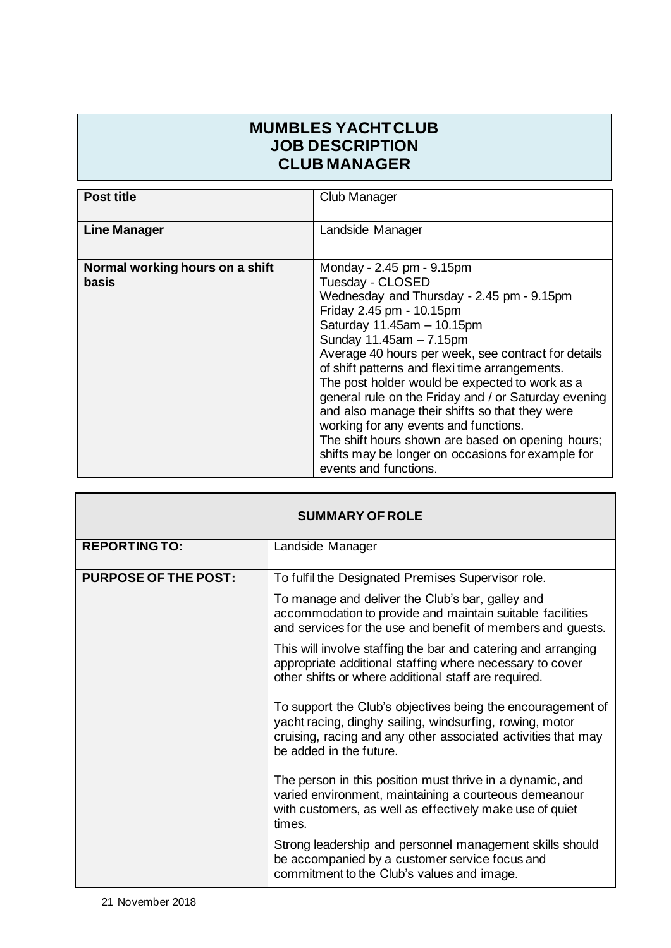## **MUMBLES YACHT CLUB JOB DESCRIPTION CLUB MANAGER**

| <b>Post title</b>                        | Club Manager                                                                                                                                                                                                                                                                                                                                                                                                                                                                                                                                                                                                                     |
|------------------------------------------|----------------------------------------------------------------------------------------------------------------------------------------------------------------------------------------------------------------------------------------------------------------------------------------------------------------------------------------------------------------------------------------------------------------------------------------------------------------------------------------------------------------------------------------------------------------------------------------------------------------------------------|
| <b>Line Manager</b>                      | Landside Manager                                                                                                                                                                                                                                                                                                                                                                                                                                                                                                                                                                                                                 |
| Normal working hours on a shift<br>basis | Monday - 2.45 pm - 9.15pm<br>Tuesday - CLOSED<br>Wednesday and Thursday - 2.45 pm - 9.15pm<br>Friday 2.45 pm - 10.15pm<br>Saturday 11.45am - 10.15pm<br>Sunday 11.45am - 7.15pm<br>Average 40 hours per week, see contract for details<br>of shift patterns and flexi time arrangements.<br>The post holder would be expected to work as a<br>general rule on the Friday and / or Saturday evening<br>and also manage their shifts so that they were<br>working for any events and functions.<br>The shift hours shown are based on opening hours;<br>shifts may be longer on occasions for example for<br>events and functions. |

| <b>SUMMARY OF ROLE</b>      |                                                                                                                                                                                                                     |  |
|-----------------------------|---------------------------------------------------------------------------------------------------------------------------------------------------------------------------------------------------------------------|--|
| <b>REPORTING TO:</b>        | Landside Manager                                                                                                                                                                                                    |  |
| <b>PURPOSE OF THE POST:</b> | To fulfil the Designated Premises Supervisor role.                                                                                                                                                                  |  |
|                             | To manage and deliver the Club's bar, galley and<br>accommodation to provide and maintain suitable facilities<br>and services for the use and benefit of members and guests.                                        |  |
|                             | This will involve staffing the bar and catering and arranging<br>appropriate additional staffing where necessary to cover<br>other shifts or where additional staff are required.                                   |  |
|                             | To support the Club's objectives being the encouragement of<br>yacht racing, dinghy sailing, windsurfing, rowing, motor<br>cruising, racing and any other associated activities that may<br>be added in the future. |  |
|                             | The person in this position must thrive in a dynamic, and<br>varied environment, maintaining a courteous demeanour<br>with customers, as well as effectively make use of quiet<br>times.                            |  |
|                             | Strong leadership and personnel management skills should<br>be accompanied by a customer service focus and<br>commitment to the Club's values and image.                                                            |  |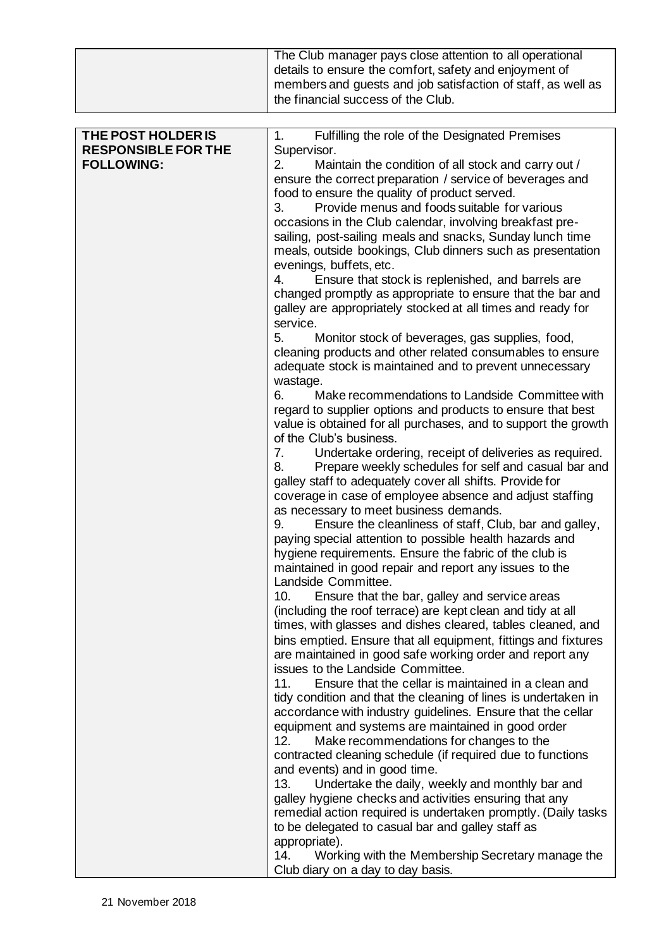|                                                                       | The Club manager pays close attention to all operational<br>details to ensure the comfort, safety and enjoyment of<br>members and guests and job satisfaction of staff, as well as<br>the financial success of the Club.                                                                                                                                                                                                                                                                                                                                                                                                                                                                                                                                                                                                                                                                                                                                                                                                                                                                                                                                                                                                                                                                                                                                                                                                                                                                                                                                                                                                                                                                                                                                                                                                                                                                                                                                                                                                                                                                                                                  |
|-----------------------------------------------------------------------|-------------------------------------------------------------------------------------------------------------------------------------------------------------------------------------------------------------------------------------------------------------------------------------------------------------------------------------------------------------------------------------------------------------------------------------------------------------------------------------------------------------------------------------------------------------------------------------------------------------------------------------------------------------------------------------------------------------------------------------------------------------------------------------------------------------------------------------------------------------------------------------------------------------------------------------------------------------------------------------------------------------------------------------------------------------------------------------------------------------------------------------------------------------------------------------------------------------------------------------------------------------------------------------------------------------------------------------------------------------------------------------------------------------------------------------------------------------------------------------------------------------------------------------------------------------------------------------------------------------------------------------------------------------------------------------------------------------------------------------------------------------------------------------------------------------------------------------------------------------------------------------------------------------------------------------------------------------------------------------------------------------------------------------------------------------------------------------------------------------------------------------------|
|                                                                       |                                                                                                                                                                                                                                                                                                                                                                                                                                                                                                                                                                                                                                                                                                                                                                                                                                                                                                                                                                                                                                                                                                                                                                                                                                                                                                                                                                                                                                                                                                                                                                                                                                                                                                                                                                                                                                                                                                                                                                                                                                                                                                                                           |
| THE POST HOLDER IS<br><b>RESPONSIBLE FOR THE</b><br><b>FOLLOWING:</b> | Fulfilling the role of the Designated Premises<br>1.<br>Supervisor.<br>2.<br>Maintain the condition of all stock and carry out /<br>ensure the correct preparation / service of beverages and<br>food to ensure the quality of product served.<br>Provide menus and foods suitable for various<br>3.<br>occasions in the Club calendar, involving breakfast pre-<br>sailing, post-sailing meals and snacks, Sunday lunch time<br>meals, outside bookings, Club dinners such as presentation<br>evenings, buffets, etc.<br>4.<br>Ensure that stock is replenished, and barrels are<br>changed promptly as appropriate to ensure that the bar and<br>galley are appropriately stocked at all times and ready for<br>service.<br>Monitor stock of beverages, gas supplies, food,<br>5.<br>cleaning products and other related consumables to ensure<br>adequate stock is maintained and to prevent unnecessary<br>wastage.<br>6.<br>Make recommendations to Landside Committee with<br>regard to supplier options and products to ensure that best<br>value is obtained for all purchases, and to support the growth<br>of the Club's business.<br>Undertake ordering, receipt of deliveries as required.<br>7.<br>Prepare weekly schedules for self and casual bar and<br>8.<br>galley staff to adequately cover all shifts. Provide for<br>coverage in case of employee absence and adjust staffing<br>as necessary to meet business demands.<br>Ensure the cleanliness of staff, Club, bar and galley,<br>9.<br>paying special attention to possible health hazards and<br>hygiene requirements. Ensure the fabric of the club is<br>maintained in good repair and report any issues to the<br>Landside Committee.<br>Ensure that the bar, galley and service areas<br>10.<br>(including the roof terrace) are kept clean and tidy at all<br>times, with glasses and dishes cleared, tables cleaned, and<br>bins emptied. Ensure that all equipment, fittings and fixtures<br>are maintained in good safe working order and report any<br>issues to the Landside Committee.<br>Ensure that the cellar is maintained in a clean and<br>11. |
|                                                                       | tidy condition and that the cleaning of lines is undertaken in<br>accordance with industry guidelines. Ensure that the cellar<br>equipment and systems are maintained in good order<br>Make recommendations for changes to the<br>12.<br>contracted cleaning schedule (if required due to functions<br>and events) and in good time.                                                                                                                                                                                                                                                                                                                                                                                                                                                                                                                                                                                                                                                                                                                                                                                                                                                                                                                                                                                                                                                                                                                                                                                                                                                                                                                                                                                                                                                                                                                                                                                                                                                                                                                                                                                                      |
|                                                                       | Undertake the daily, weekly and monthly bar and<br>13.<br>galley hygiene checks and activities ensuring that any<br>remedial action required is undertaken promptly. (Daily tasks<br>to be delegated to casual bar and galley staff as                                                                                                                                                                                                                                                                                                                                                                                                                                                                                                                                                                                                                                                                                                                                                                                                                                                                                                                                                                                                                                                                                                                                                                                                                                                                                                                                                                                                                                                                                                                                                                                                                                                                                                                                                                                                                                                                                                    |
|                                                                       | appropriate).<br>Working with the Membership Secretary manage the<br>14.<br>Club diary on a day to day basis.                                                                                                                                                                                                                                                                                                                                                                                                                                                                                                                                                                                                                                                                                                                                                                                                                                                                                                                                                                                                                                                                                                                                                                                                                                                                                                                                                                                                                                                                                                                                                                                                                                                                                                                                                                                                                                                                                                                                                                                                                             |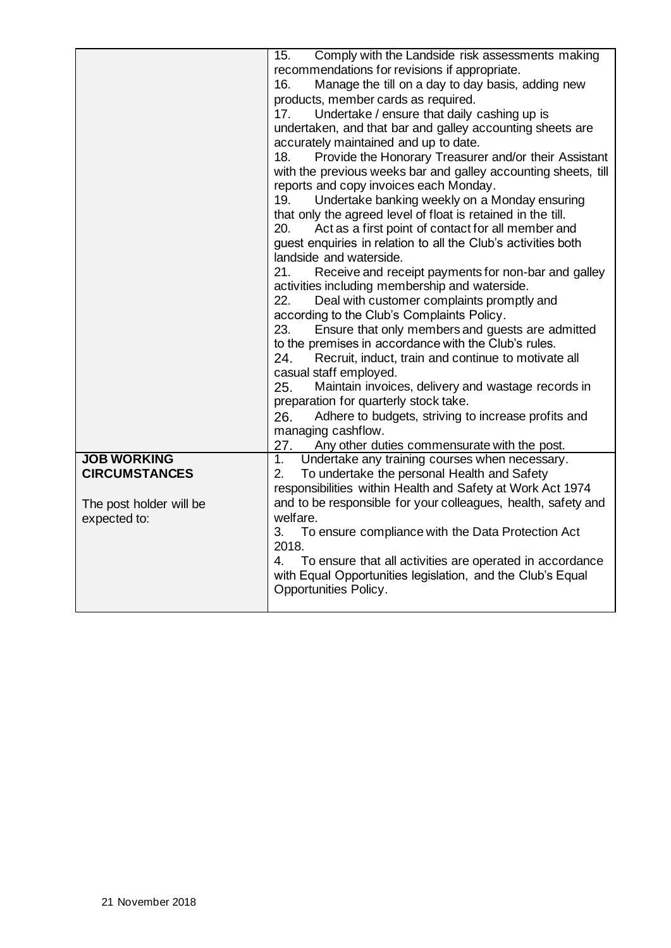|                         | Comply with the Landside risk assessments making<br>15.        |  |  |
|-------------------------|----------------------------------------------------------------|--|--|
|                         |                                                                |  |  |
|                         | recommendations for revisions if appropriate.                  |  |  |
|                         | Manage the till on a day to day basis, adding new<br>16.       |  |  |
|                         | products, member cards as required.                            |  |  |
|                         | Undertake / ensure that daily cashing up is<br>17.             |  |  |
|                         | undertaken, and that bar and galley accounting sheets are      |  |  |
|                         | accurately maintained and up to date.                          |  |  |
|                         | Provide the Honorary Treasurer and/or their Assistant<br>18.   |  |  |
|                         | with the previous weeks bar and galley accounting sheets, till |  |  |
|                         | reports and copy invoices each Monday.                         |  |  |
|                         | 19.<br>Undertake banking weekly on a Monday ensuring           |  |  |
|                         | that only the agreed level of float is retained in the till.   |  |  |
|                         | Act as a first point of contact for all member and<br>20.      |  |  |
|                         | guest enquiries in relation to all the Club's activities both  |  |  |
|                         | landside and waterside.                                        |  |  |
|                         | 21.<br>Receive and receipt payments for non-bar and galley     |  |  |
|                         | activities including membership and waterside.                 |  |  |
|                         | 22.<br>Deal with customer complaints promptly and              |  |  |
|                         | according to the Club's Complaints Policy.                     |  |  |
|                         | Ensure that only members and guests are admitted<br>23.        |  |  |
|                         | to the premises in accordance with the Club's rules.           |  |  |
|                         | Recruit, induct, train and continue to motivate all<br>24.     |  |  |
|                         | casual staff employed.                                         |  |  |
|                         | Maintain invoices, delivery and wastage records in<br>25.      |  |  |
|                         | preparation for quarterly stock take.                          |  |  |
|                         | Adhere to budgets, striving to increase profits and<br>26.     |  |  |
|                         | managing cashflow.                                             |  |  |
|                         | 27.<br>Any other duties commensurate with the post.            |  |  |
| <b>JOB WORKING</b>      | Undertake any training courses when necessary.<br>1.           |  |  |
| <b>CIRCUMSTANCES</b>    | To undertake the personal Health and Safety<br>2.              |  |  |
|                         | responsibilities within Health and Safety at Work Act 1974     |  |  |
|                         | and to be responsible for your colleagues, health, safety and  |  |  |
| The post holder will be | welfare.                                                       |  |  |
| expected to:            |                                                                |  |  |
|                         | To ensure compliance with the Data Protection Act<br>3.        |  |  |
|                         | 2018.                                                          |  |  |
|                         | 4.<br>To ensure that all activities are operated in accordance |  |  |
|                         | with Equal Opportunities legislation, and the Club's Equal     |  |  |
|                         | Opportunities Policy.                                          |  |  |
|                         |                                                                |  |  |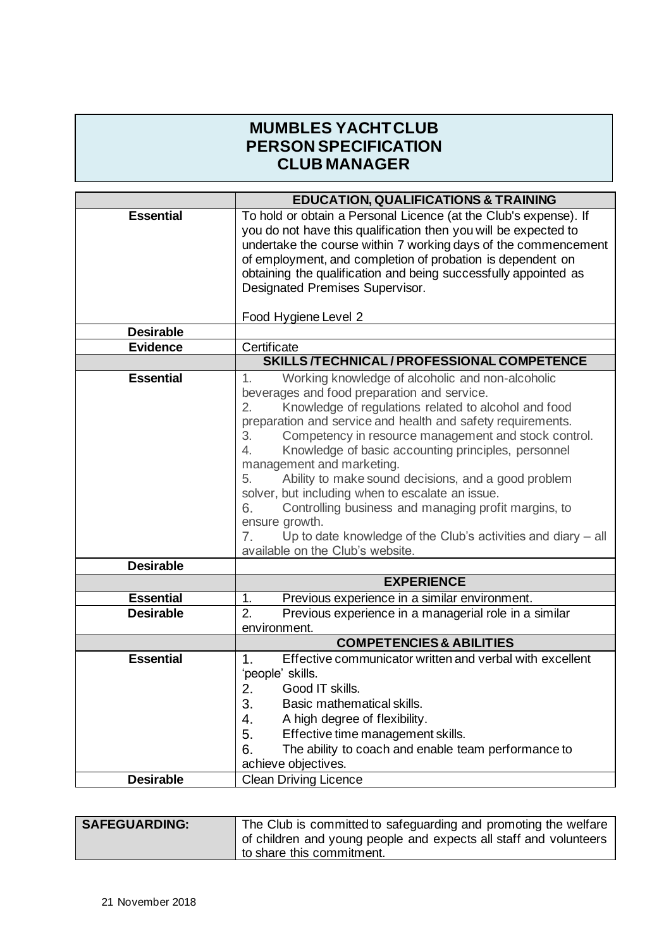## **MUMBLES YACHT CLUB PERSON SPECIFICATION CLUB MANAGER**

|                  | <b>EDUCATION, QUALIFICATIONS &amp; TRAINING</b>                                                                                                                                                                                                                                                                                                                                                                                                                                                                                                                                                                                                                                                             |  |
|------------------|-------------------------------------------------------------------------------------------------------------------------------------------------------------------------------------------------------------------------------------------------------------------------------------------------------------------------------------------------------------------------------------------------------------------------------------------------------------------------------------------------------------------------------------------------------------------------------------------------------------------------------------------------------------------------------------------------------------|--|
| <b>Essential</b> | To hold or obtain a Personal Licence (at the Club's expense). If<br>you do not have this qualification then you will be expected to<br>undertake the course within 7 working days of the commencement<br>of employment, and completion of probation is dependent on<br>obtaining the qualification and being successfully appointed as<br>Designated Premises Supervisor.                                                                                                                                                                                                                                                                                                                                   |  |
| <b>Desirable</b> | Food Hygiene Level 2                                                                                                                                                                                                                                                                                                                                                                                                                                                                                                                                                                                                                                                                                        |  |
| <b>Evidence</b>  | Certificate                                                                                                                                                                                                                                                                                                                                                                                                                                                                                                                                                                                                                                                                                                 |  |
|                  | SKILLS /TECHNICAL / PROFESSIONAL COMPETENCE                                                                                                                                                                                                                                                                                                                                                                                                                                                                                                                                                                                                                                                                 |  |
| <b>Essential</b> | Working knowledge of alcoholic and non-alcoholic<br>$1_{-}$<br>beverages and food preparation and service.<br>2.<br>Knowledge of regulations related to alcohol and food<br>preparation and service and health and safety requirements.<br>Competency in resource management and stock control.<br>3.<br>Knowledge of basic accounting principles, personnel<br>4.<br>management and marketing.<br>Ability to make sound decisions, and a good problem<br>5.<br>solver, but including when to escalate an issue.<br>Controlling business and managing profit margins, to<br>6.<br>ensure growth.<br>Up to date knowledge of the Club's activities and diary – all<br>7.<br>available on the Club's website. |  |
| <b>Desirable</b> |                                                                                                                                                                                                                                                                                                                                                                                                                                                                                                                                                                                                                                                                                                             |  |
|                  | <b>EXPERIENCE</b>                                                                                                                                                                                                                                                                                                                                                                                                                                                                                                                                                                                                                                                                                           |  |
| <b>Essential</b> | 1.<br>Previous experience in a similar environment.                                                                                                                                                                                                                                                                                                                                                                                                                                                                                                                                                                                                                                                         |  |
| <b>Desirable</b> | 2.<br>Previous experience in a managerial role in a similar                                                                                                                                                                                                                                                                                                                                                                                                                                                                                                                                                                                                                                                 |  |
|                  | environment.<br><b>COMPETENCIES &amp; ABILITIES</b>                                                                                                                                                                                                                                                                                                                                                                                                                                                                                                                                                                                                                                                         |  |
| <b>Essential</b> | Effective communicator written and verbal with excellent<br>1.                                                                                                                                                                                                                                                                                                                                                                                                                                                                                                                                                                                                                                              |  |
|                  | 'people' skills.<br>Good IT skills.<br>2.<br>Basic mathematical skills.<br>3.<br>A high degree of flexibility.<br>4.<br>5.<br>Effective time management skills.<br>The ability to coach and enable team performance to<br>6.<br>achieve objectives.                                                                                                                                                                                                                                                                                                                                                                                                                                                         |  |
| <b>Desirable</b> | <b>Clean Driving Licence</b>                                                                                                                                                                                                                                                                                                                                                                                                                                                                                                                                                                                                                                                                                |  |

| <b>SAFEGUARDING:</b> | The Club is committed to safeguarding and promoting the welfare<br>of children and young people and expects all staff and volunteers |
|----------------------|--------------------------------------------------------------------------------------------------------------------------------------|
|                      | I to share this commitment.                                                                                                          |